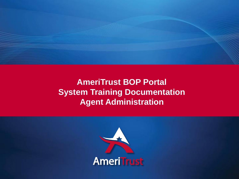

# **AmeriTrust BOP Portal System Training Documentation Agent Administration**

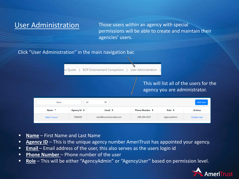User Administration Those users within an agency with special permissions will be able to create and maintain their agencies' users.

#### Click "User Administration" in the main navigation bar.

**User Administration** BOP Endorsement Comparison | w Quote

### This will list all of the users for the agency you are administrator.

| Mark              |                  | All<br>$\checkmark$   |                           |                  | <b>Add User</b>     |
|-------------------|------------------|-----------------------|---------------------------|------------------|---------------------|
| Name <sup>4</sup> | Agency Id $\div$ | Email $\div$          | Phone Number $\triangleq$ | Role $\triangle$ | <b>Actions</b>      |
| Mark Cusson       | 3584020          | mark@summerscreek.com | 248-204-6107              | AgencyAdmin      | <b>Disable User</b> |

- **Name** First Name and Last Name
- **E** Agency ID This is the unique agency number AmeriTrust has appointed your agency.
- **Email** Email address of the user, this also serves as the users login id
- **<u>Phone Number</u>** Phone number of the user
- **Role** This will be either "AgencyAdmin" or "AgencyUser" based on permission level.

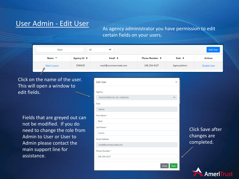## User Admin - Edit User

As agency administrator you have permission to edit certain fields on your users.

| Mark              | All                 | v                     |                        |                | <b>Add User</b>     |
|-------------------|---------------------|-----------------------|------------------------|----------------|---------------------|
| Name <sup>4</sup> | Agency Id $\approx$ | Email $\div$          | Phone Number $\hat{z}$ | Role $\hat{=}$ | <b>Actions</b>      |
| Mark Cusson       | 3584020             | mark@summerscreek.com | 248-204-6107           | AgencyAdmin    | <b>Disable User</b> |

Click on the name of the user. This will open a window to edit fields.

Fields that are greyed out can not be modified. If you do need to change the role from Admin to User or User to Admin please contact the main support line for assistance.

| <b>Edit User</b>           | $\mathsf{x}$           |
|----------------------------|------------------------|
| Agency                     |                        |
| MEADOWBROOK, INC (3584020) |                        |
| Role                       |                        |
| Admin                      |                        |
| First Name*                |                        |
| Mark                       |                        |
| Last Name*                 |                        |
| Cusson                     | $\mathsf{C}\mathsf{I}$ |
| <b>Email Address</b>       | $\mathsf{c}\mathsf{l}$ |
| mark@summerscreek.com      | C(                     |
| Phone Number*              |                        |
| 248-204-6107               |                        |
|                            |                        |

#### lick Save after hanges are ompleted.

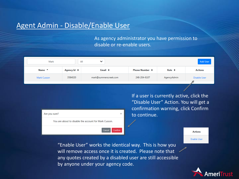## Agent Admin - Disable/Enable User

As agency administrator you have permission to disable or re-enable users.

| Mark              |                     | All<br>$\checkmark$   |                           |                | <b>Add User</b> |
|-------------------|---------------------|-----------------------|---------------------------|----------------|-----------------|
| Name <sup>4</sup> | Agency Id $\approx$ | Email $\triangleq$    | Phone Number $\triangleq$ | Role $\approx$ | <b>Actions</b>  |
| Mark Cusson       | 3584020             | mark@summerscreek.com | 248-204-6107              | AgencyAdmin    | Disable User    |

| Are you sure?                                         |  |
|-------------------------------------------------------|--|
| You are about to disable the account for Mark Cusson. |  |
| Cancel<br>Confirm                                     |  |

If a user is currently active, click the "Disable User" Action. You will get a confirmation warning, click Confirm to continue.

"Enable User" works the identical way. This is how you will remove access once it is created. Please note that any quotes created by a disabled user are still accessible by anyone under your agency code.



**Actions** 

**Enable User**